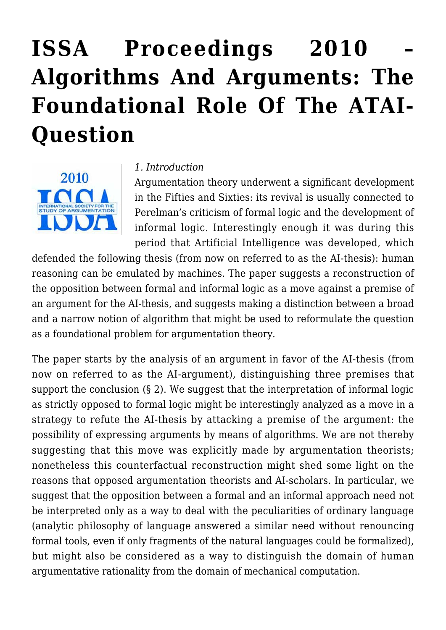# **[ISSA Proceedings 2010 –](https://rozenbergquarterly.com/issa-proceedings-2010-algorithms-and-arguments-the-foundational-role-of-the-atai-question/) [Algorithms And Arguments: The](https://rozenbergquarterly.com/issa-proceedings-2010-algorithms-and-arguments-the-foundational-role-of-the-atai-question/) [Foundational Role Of The ATAI-](https://rozenbergquarterly.com/issa-proceedings-2010-algorithms-and-arguments-the-foundational-role-of-the-atai-question/)[Question](https://rozenbergquarterly.com/issa-proceedings-2010-algorithms-and-arguments-the-foundational-role-of-the-atai-question/)**



#### *1. Introduction*

Argumentation theory underwent a significant development in the Fifties and Sixties: its revival is usually connected to Perelman's criticism of formal logic and the development of informal logic. Interestingly enough it was during this period that Artificial Intelligence was developed, which

defended the following thesis (from now on referred to as the AI-thesis): human reasoning can be emulated by machines. The paper suggests a reconstruction of the opposition between formal and informal logic as a move against a premise of an argument for the AI-thesis, and suggests making a distinction between a broad and a narrow notion of algorithm that might be used to reformulate the question as a foundational problem for argumentation theory.

The paper starts by the analysis of an argument in favor of the AI-thesis (from now on referred to as the AI-argument), distinguishing three premises that support the conclusion (§ 2). We suggest that the interpretation of informal logic as strictly opposed to formal logic might be interestingly analyzed as a move in a strategy to refute the AI-thesis by attacking a premise of the argument: the possibility of expressing arguments by means of algorithms. We are not thereby suggesting that this move was explicitly made by argumentation theorists; nonetheless this counterfactual reconstruction might shed some light on the reasons that opposed argumentation theorists and AI-scholars. In particular, we suggest that the opposition between a formal and an informal approach need not be interpreted only as a way to deal with the peculiarities of ordinary language (analytic philosophy of language answered a similar need without renouncing formal tools, even if only fragments of the natural languages could be formalized), but might also be considered as a way to distinguish the domain of human argumentative rationality from the domain of mechanical computation.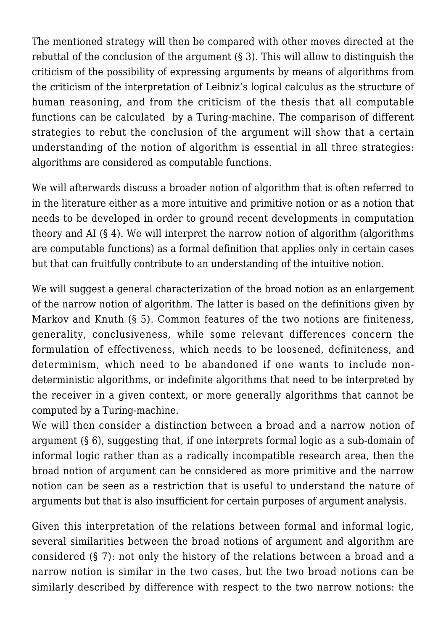The mentioned strategy will then be compared with other moves directed at the rebuttal of the conclusion of the argument (§ 3). This will allow to distinguish the criticism of the possibility of expressing arguments by means of algorithms from the criticism of the interpretation of Leibniz's logical calculus as the structure of human reasoning, and from the criticism of the thesis that all computable functions can be calculated by a Turing-machine. The comparison of different strategies to rebut the conclusion of the argument will show that a certain understanding of the notion of algorithm is essential in all three strategies: algorithms are considered as computable functions.

We will afterwards discuss a broader notion of algorithm that is often referred to in the literature either as a more intuitive and primitive notion or as a notion that needs to be developed in order to ground recent developments in computation theory and AI  $(§ 4)$ . We will interpret the narrow notion of algorithm (algorithms) are computable functions) as a formal definition that applies only in certain cases but that can fruitfully contribute to an understanding of the intuitive notion.

We will suggest a general characterization of the broad notion as an enlargement of the narrow notion of algorithm. The latter is based on the definitions given by Markov and Knuth (§ 5). Common features of the two notions are finiteness, generality, conclusiveness, while some relevant differences concern the formulation of effectiveness, which needs to be loosened, definiteness, and determinism, which need to be abandoned if one wants to include nondeterministic algorithms, or indefinite algorithms that need to be interpreted by the receiver in a given context, or more generally algorithms that cannot be computed by a Turing-machine.

We will then consider a distinction between a broad and a narrow notion of argument (§ 6), suggesting that, if one interprets formal logic as a sub-domain of informal logic rather than as a radically incompatible research area, then the broad notion of argument can be considered as more primitive and the narrow notion can be seen as a restriction that is useful to understand the nature of arguments but that is also insufficient for certain purposes of argument analysis.

Given this interpretation of the relations between formal and informal logic, several similarities between the broad notions of argument and algorithm are considered (§ 7): not only the history of the relations between a broad and a narrow notion is similar in the two cases, but the two broad notions can be similarly described by difference with respect to the two narrow notions: the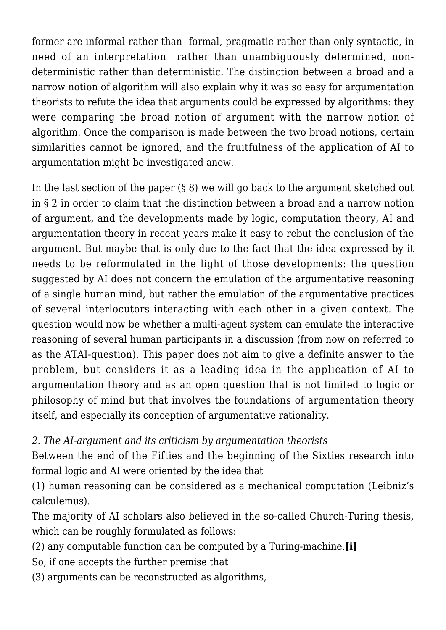former are informal rather than formal, pragmatic rather than only syntactic, in need of an interpretation rather than unambiguously determined, nondeterministic rather than deterministic. The distinction between a broad and a narrow notion of algorithm will also explain why it was so easy for argumentation theorists to refute the idea that arguments could be expressed by algorithms: they were comparing the broad notion of argument with the narrow notion of algorithm. Once the comparison is made between the two broad notions, certain similarities cannot be ignored, and the fruitfulness of the application of AI to argumentation might be investigated anew.

In the last section of the paper  $(\S 8)$  we will go back to the argument sketched out in § 2 in order to claim that the distinction between a broad and a narrow notion of argument, and the developments made by logic, computation theory, AI and argumentation theory in recent years make it easy to rebut the conclusion of the argument. But maybe that is only due to the fact that the idea expressed by it needs to be reformulated in the light of those developments: the question suggested by AI does not concern the emulation of the argumentative reasoning of a single human mind, but rather the emulation of the argumentative practices of several interlocutors interacting with each other in a given context. The question would now be whether a multi-agent system can emulate the interactive reasoning of several human participants in a discussion (from now on referred to as the ATAI-question). This paper does not aim to give a definite answer to the problem, but considers it as a leading idea in the application of AI to argumentation theory and as an open question that is not limited to logic or philosophy of mind but that involves the foundations of argumentation theory itself, and especially its conception of argumentative rationality.

*2. The AI-argument and its criticism by argumentation theorists*

Between the end of the Fifties and the beginning of the Sixties research into formal logic and AI were oriented by the idea that

(1) human reasoning can be considered as a mechanical computation (Leibniz's calculemus).

The majority of AI scholars also believed in the so-called Church-Turing thesis, which can be roughly formulated as follows:

- (2) any computable function can be computed by a Turing-machine.**[i]**
- So, if one accepts the further premise that
- (3) arguments can be reconstructed as algorithms,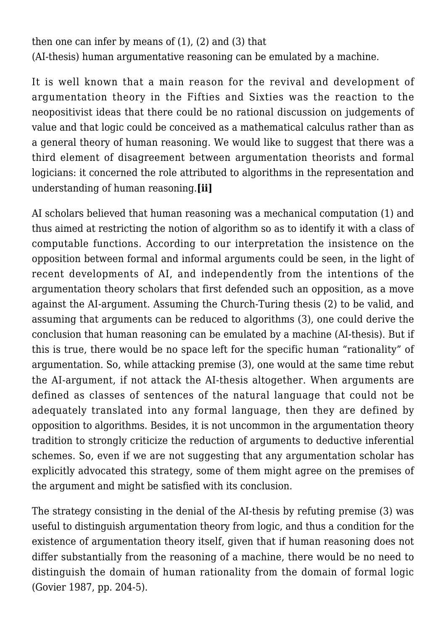then one can infer by means of (1), (2) and (3) that

(AI-thesis) human argumentative reasoning can be emulated by a machine.

It is well known that a main reason for the revival and development of argumentation theory in the Fifties and Sixties was the reaction to the neopositivist ideas that there could be no rational discussion on judgements of value and that logic could be conceived as a mathematical calculus rather than as a general theory of human reasoning. We would like to suggest that there was a third element of disagreement between argumentation theorists and formal logicians: it concerned the role attributed to algorithms in the representation and understanding of human reasoning.**[ii]**

AI scholars believed that human reasoning was a mechanical computation (1) and thus aimed at restricting the notion of algorithm so as to identify it with a class of computable functions. According to our interpretation the insistence on the opposition between formal and informal arguments could be seen, in the light of recent developments of AI, and independently from the intentions of the argumentation theory scholars that first defended such an opposition, as a move against the AI-argument. Assuming the Church-Turing thesis (2) to be valid, and assuming that arguments can be reduced to algorithms (3), one could derive the conclusion that human reasoning can be emulated by a machine (AI-thesis). But if this is true, there would be no space left for the specific human "rationality" of argumentation. So, while attacking premise (3), one would at the same time rebut the AI-argument, if not attack the AI-thesis altogether. When arguments are defined as classes of sentences of the natural language that could not be adequately translated into any formal language, then they are defined by opposition to algorithms. Besides, it is not uncommon in the argumentation theory tradition to strongly criticize the reduction of arguments to deductive inferential schemes. So, even if we are not suggesting that any argumentation scholar has explicitly advocated this strategy, some of them might agree on the premises of the argument and might be satisfied with its conclusion.

The strategy consisting in the denial of the AI-thesis by refuting premise (3) was useful to distinguish argumentation theory from logic, and thus a condition for the existence of argumentation theory itself, given that if human reasoning does not differ substantially from the reasoning of a machine, there would be no need to distinguish the domain of human rationality from the domain of formal logic (Govier 1987, pp. 204-5).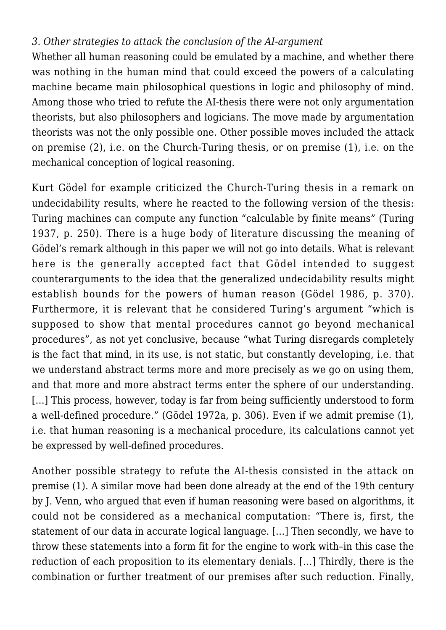## *3. Other strategies to attack the conclusion of the AI-argument*

Whether all human reasoning could be emulated by a machine, and whether there was nothing in the human mind that could exceed the powers of a calculating machine became main philosophical questions in logic and philosophy of mind. Among those who tried to refute the AI-thesis there were not only argumentation theorists, but also philosophers and logicians. The move made by argumentation theorists was not the only possible one. Other possible moves included the attack on premise (2), i.e. on the Church-Turing thesis, or on premise (1), i.e. on the mechanical conception of logical reasoning.

Kurt Gödel for example criticized the Church-Turing thesis in a remark on undecidability results, where he reacted to the following version of the thesis: Turing machines can compute any function "calculable by finite means" (Turing 1937, p. 250). There is a huge body of literature discussing the meaning of Gödel's remark although in this paper we will not go into details. What is relevant here is the generally accepted fact that Gödel intended to suggest counterarguments to the idea that the generalized undecidability results might establish bounds for the powers of human reason (Gödel 1986, p. 370). Furthermore, it is relevant that he considered Turing's argument "which is supposed to show that mental procedures cannot go beyond mechanical procedures", as not yet conclusive, because "what Turing disregards completely is the fact that mind, in its use, is not static, but constantly developing, i.e. that we understand abstract terms more and more precisely as we go on using them, and that more and more abstract terms enter the sphere of our understanding. [...] This process, however, today is far from being sufficiently understood to form a well-defined procedure." (Gödel 1972a, p. 306). Even if we admit premise (1), i.e. that human reasoning is a mechanical procedure, its calculations cannot yet be expressed by well-defined procedures.

Another possible strategy to refute the AI-thesis consisted in the attack on premise (1). A similar move had been done already at the end of the 19th century by J. Venn, who argued that even if human reasoning were based on algorithms, it could not be considered as a mechanical computation: "There is, first, the statement of our data in accurate logical language. […] Then secondly, we have to throw these statements into a form fit for the engine to work with–in this case the reduction of each proposition to its elementary denials. […] Thirdly, there is the combination or further treatment of our premises after such reduction. Finally,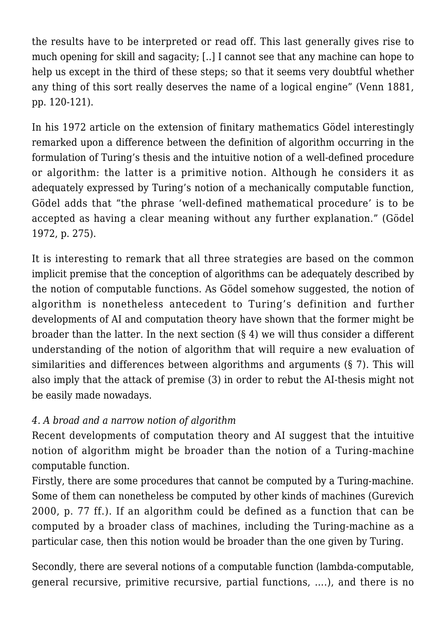the results have to be interpreted or read off. This last generally gives rise to much opening for skill and sagacity; [..] I cannot see that any machine can hope to help us except in the third of these steps; so that it seems very doubtful whether any thing of this sort really deserves the name of a logical engine" (Venn 1881, pp. 120-121).

In his 1972 article on the extension of finitary mathematics Gödel interestingly remarked upon a difference between the definition of algorithm occurring in the formulation of Turing's thesis and the intuitive notion of a well-defined procedure or algorithm: the latter is a primitive notion. Although he considers it as adequately expressed by Turing's notion of a mechanically computable function, Gödel adds that "the phrase 'well-defined mathematical procedure' is to be accepted as having a clear meaning without any further explanation." (Gödel 1972, p. 275).

It is interesting to remark that all three strategies are based on the common implicit premise that the conception of algorithms can be adequately described by the notion of computable functions. As Gödel somehow suggested, the notion of algorithm is nonetheless antecedent to Turing's definition and further developments of AI and computation theory have shown that the former might be broader than the latter. In the next section (§ 4) we will thus consider a different understanding of the notion of algorithm that will require a new evaluation of similarities and differences between algorithms and arguments (§ 7). This will also imply that the attack of premise (3) in order to rebut the AI-thesis might not be easily made nowadays.

# *4. A broad and a narrow notion of algorithm*

Recent developments of computation theory and AI suggest that the intuitive notion of algorithm might be broader than the notion of a Turing-machine computable function.

Firstly, there are some procedures that cannot be computed by a Turing-machine. Some of them can nonetheless be computed by other kinds of machines (Gurevich 2000, p. 77 ff.). If an algorithm could be defined as a function that can be computed by a broader class of machines, including the Turing-machine as a particular case, then this notion would be broader than the one given by Turing.

Secondly, there are several notions of a computable function (lambda-computable, general recursive, primitive recursive, partial functions, ….), and there is no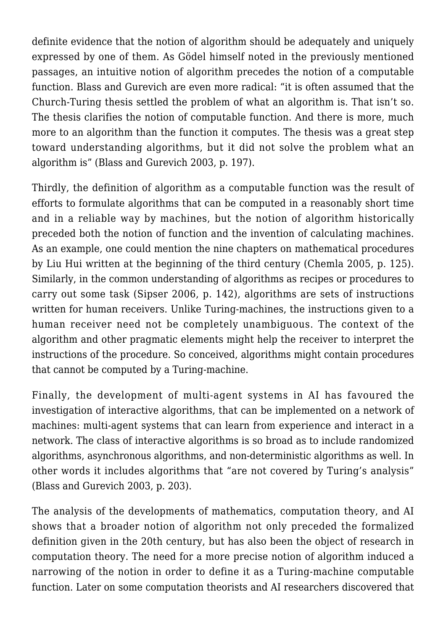definite evidence that the notion of algorithm should be adequately and uniquely expressed by one of them. As Gödel himself noted in the previously mentioned passages, an intuitive notion of algorithm precedes the notion of a computable function. Blass and Gurevich are even more radical: "it is often assumed that the Church-Turing thesis settled the problem of what an algorithm is. That isn't so. The thesis clarifies the notion of computable function. And there is more, much more to an algorithm than the function it computes. The thesis was a great step toward understanding algorithms, but it did not solve the problem what an algorithm is" (Blass and Gurevich 2003, p. 197).

Thirdly, the definition of algorithm as a computable function was the result of efforts to formulate algorithms that can be computed in a reasonably short time and in a reliable way by machines, but the notion of algorithm historically preceded both the notion of function and the invention of calculating machines. As an example, one could mention the nine chapters on mathematical procedures by Liu Hui written at the beginning of the third century (Chemla 2005, p. 125). Similarly, in the common understanding of algorithms as recipes or procedures to carry out some task (Sipser 2006, p. 142), algorithms are sets of instructions written for human receivers. Unlike Turing-machines, the instructions given to a human receiver need not be completely unambiguous. The context of the algorithm and other pragmatic elements might help the receiver to interpret the instructions of the procedure. So conceived, algorithms might contain procedures that cannot be computed by a Turing-machine.

Finally, the development of multi-agent systems in AI has favoured the investigation of interactive algorithms, that can be implemented on a network of machines: multi-agent systems that can learn from experience and interact in a network. The class of interactive algorithms is so broad as to include randomized algorithms, asynchronous algorithms, and non-deterministic algorithms as well. In other words it includes algorithms that "are not covered by Turing's analysis" (Blass and Gurevich 2003, p. 203).

The analysis of the developments of mathematics, computation theory, and AI shows that a broader notion of algorithm not only preceded the formalized definition given in the 20th century, but has also been the object of research in computation theory. The need for a more precise notion of algorithm induced a narrowing of the notion in order to define it as a Turing-machine computable function. Later on some computation theorists and AI researchers discovered that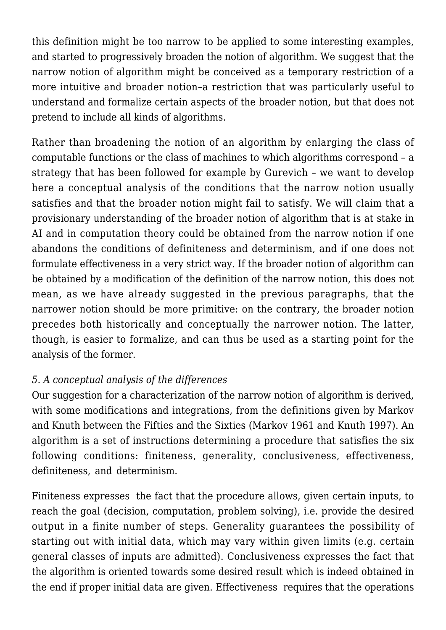this definition might be too narrow to be applied to some interesting examples, and started to progressively broaden the notion of algorithm. We suggest that the narrow notion of algorithm might be conceived as a temporary restriction of a more intuitive and broader notion–a restriction that was particularly useful to understand and formalize certain aspects of the broader notion, but that does not pretend to include all kinds of algorithms.

Rather than broadening the notion of an algorithm by enlarging the class of computable functions or the class of machines to which algorithms correspond – a strategy that has been followed for example by Gurevich – we want to develop here a conceptual analysis of the conditions that the narrow notion usually satisfies and that the broader notion might fail to satisfy. We will claim that a provisionary understanding of the broader notion of algorithm that is at stake in AI and in computation theory could be obtained from the narrow notion if one abandons the conditions of definiteness and determinism, and if one does not formulate effectiveness in a very strict way. If the broader notion of algorithm can be obtained by a modification of the definition of the narrow notion, this does not mean, as we have already suggested in the previous paragraphs, that the narrower notion should be more primitive: on the contrary, the broader notion precedes both historically and conceptually the narrower notion. The latter, though, is easier to formalize, and can thus be used as a starting point for the analysis of the former.

### *5. A conceptual analysis of the differences*

Our suggestion for a characterization of the narrow notion of algorithm is derived, with some modifications and integrations, from the definitions given by Markov and Knuth between the Fifties and the Sixties (Markov 1961 and Knuth 1997). An algorithm is a set of instructions determining a procedure that satisfies the six following conditions: finiteness, generality, conclusiveness, effectiveness, definiteness, and determinism.

Finiteness expresses the fact that the procedure allows, given certain inputs, to reach the goal (decision, computation, problem solving), i.e. provide the desired output in a finite number of steps. Generality guarantees the possibility of starting out with initial data, which may vary within given limits (e.g. certain general classes of inputs are admitted). Conclusiveness expresses the fact that the algorithm is oriented towards some desired result which is indeed obtained in the end if proper initial data are given. Effectiveness requires that the operations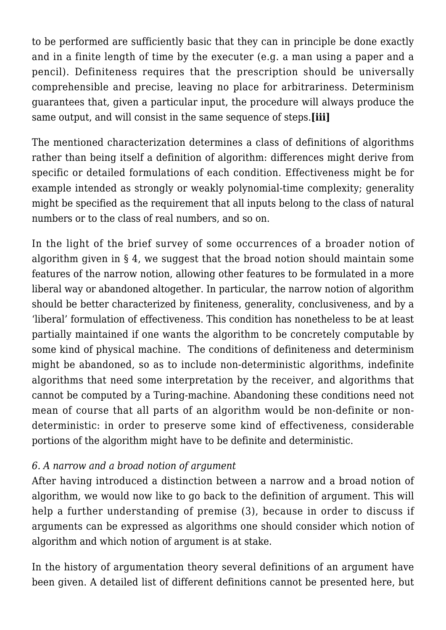to be performed are sufficiently basic that they can in principle be done exactly and in a finite length of time by the executer (e.g. a man using a paper and a pencil). Definiteness requires that the prescription should be universally comprehensible and precise, leaving no place for arbitrariness. Determinism guarantees that, given a particular input, the procedure will always produce the same output, and will consist in the same sequence of steps.**[iii]**

The mentioned characterization determines a class of definitions of algorithms rather than being itself a definition of algorithm: differences might derive from specific or detailed formulations of each condition. Effectiveness might be for example intended as strongly or weakly polynomial-time complexity; generality might be specified as the requirement that all inputs belong to the class of natural numbers or to the class of real numbers, and so on.

In the light of the brief survey of some occurrences of a broader notion of algorithm given in § 4, we suggest that the broad notion should maintain some features of the narrow notion, allowing other features to be formulated in a more liberal way or abandoned altogether. In particular, the narrow notion of algorithm should be better characterized by finiteness, generality, conclusiveness, and by a 'liberal' formulation of effectiveness. This condition has nonetheless to be at least partially maintained if one wants the algorithm to be concretely computable by some kind of physical machine. The conditions of definiteness and determinism might be abandoned, so as to include non-deterministic algorithms, indefinite algorithms that need some interpretation by the receiver, and algorithms that cannot be computed by a Turing-machine. Abandoning these conditions need not mean of course that all parts of an algorithm would be non-definite or nondeterministic: in order to preserve some kind of effectiveness, considerable portions of the algorithm might have to be definite and deterministic.

### *6. A narrow and a broad notion of argument*

After having introduced a distinction between a narrow and a broad notion of algorithm, we would now like to go back to the definition of argument. This will help a further understanding of premise (3), because in order to discuss if arguments can be expressed as algorithms one should consider which notion of algorithm and which notion of argument is at stake.

In the history of argumentation theory several definitions of an argument have been given. A detailed list of different definitions cannot be presented here, but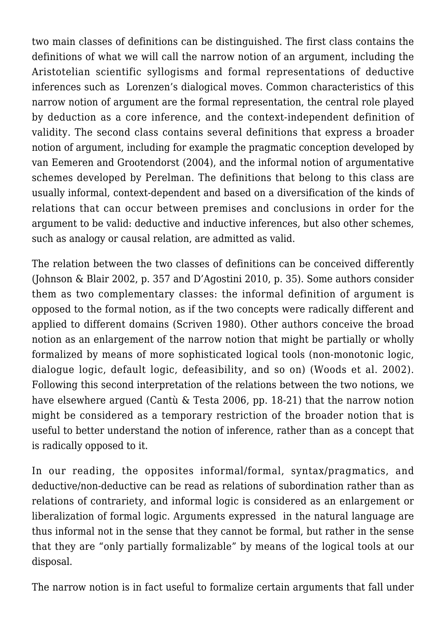two main classes of definitions can be distinguished. The first class contains the definitions of what we will call the narrow notion of an argument, including the Aristotelian scientific syllogisms and formal representations of deductive inferences such as Lorenzen's dialogical moves. Common characteristics of this narrow notion of argument are the formal representation, the central role played by deduction as a core inference, and the context-independent definition of validity. The second class contains several definitions that express a broader notion of argument, including for example the pragmatic conception developed by van Eemeren and Grootendorst (2004), and the informal notion of argumentative schemes developed by Perelman. The definitions that belong to this class are usually informal, context-dependent and based on a diversification of the kinds of relations that can occur between premises and conclusions in order for the argument to be valid: deductive and inductive inferences, but also other schemes, such as analogy or causal relation, are admitted as valid.

The relation between the two classes of definitions can be conceived differently (Johnson & Blair 2002, p. 357 and D'Agostini 2010, p. 35). Some authors consider them as two complementary classes: the informal definition of argument is opposed to the formal notion, as if the two concepts were radically different and applied to different domains (Scriven 1980). Other authors conceive the broad notion as an enlargement of the narrow notion that might be partially or wholly formalized by means of more sophisticated logical tools (non-monotonic logic, dialogue logic, default logic, defeasibility, and so on) (Woods et al. 2002). Following this second interpretation of the relations between the two notions, we have elsewhere argued (Cantù & Testa 2006, pp. 18-21) that the narrow notion might be considered as a temporary restriction of the broader notion that is useful to better understand the notion of inference, rather than as a concept that is radically opposed to it.

In our reading, the opposites informal/formal, syntax/pragmatics, and deductive/non-deductive can be read as relations of subordination rather than as relations of contrariety, and informal logic is considered as an enlargement or liberalization of formal logic. Arguments expressed in the natural language are thus informal not in the sense that they cannot be formal, but rather in the sense that they are "only partially formalizable" by means of the logical tools at our disposal.

The narrow notion is in fact useful to formalize certain arguments that fall under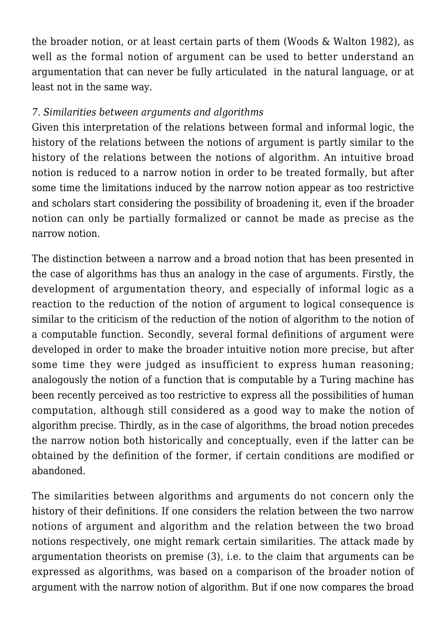the broader notion, or at least certain parts of them (Woods & Walton 1982), as well as the formal notion of argument can be used to better understand an argumentation that can never be fully articulated in the natural language, or at least not in the same way.

### *7. Similarities between arguments and algorithms*

Given this interpretation of the relations between formal and informal logic, the history of the relations between the notions of argument is partly similar to the history of the relations between the notions of algorithm. An intuitive broad notion is reduced to a narrow notion in order to be treated formally, but after some time the limitations induced by the narrow notion appear as too restrictive and scholars start considering the possibility of broadening it, even if the broader notion can only be partially formalized or cannot be made as precise as the narrow notion.

The distinction between a narrow and a broad notion that has been presented in the case of algorithms has thus an analogy in the case of arguments. Firstly, the development of argumentation theory, and especially of informal logic as a reaction to the reduction of the notion of argument to logical consequence is similar to the criticism of the reduction of the notion of algorithm to the notion of a computable function. Secondly, several formal definitions of argument were developed in order to make the broader intuitive notion more precise, but after some time they were judged as insufficient to express human reasoning; analogously the notion of a function that is computable by a Turing machine has been recently perceived as too restrictive to express all the possibilities of human computation, although still considered as a good way to make the notion of algorithm precise. Thirdly, as in the case of algorithms, the broad notion precedes the narrow notion both historically and conceptually, even if the latter can be obtained by the definition of the former, if certain conditions are modified or abandoned.

The similarities between algorithms and arguments do not concern only the history of their definitions. If one considers the relation between the two narrow notions of argument and algorithm and the relation between the two broad notions respectively, one might remark certain similarities. The attack made by argumentation theorists on premise (3), i.e. to the claim that arguments can be expressed as algorithms, was based on a comparison of the broader notion of argument with the narrow notion of algorithm. But if one now compares the broad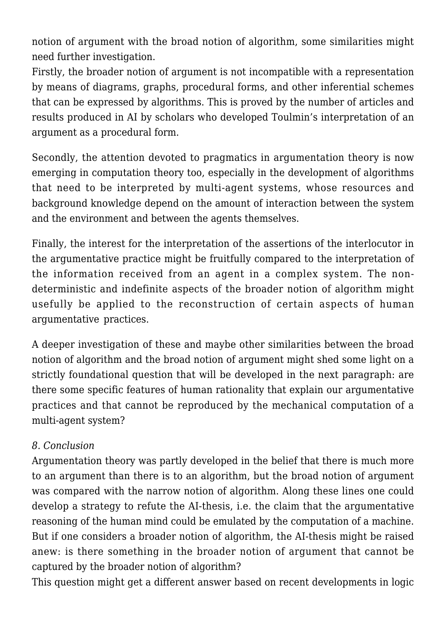notion of argument with the broad notion of algorithm, some similarities might need further investigation.

Firstly, the broader notion of argument is not incompatible with a representation by means of diagrams, graphs, procedural forms, and other inferential schemes that can be expressed by algorithms. This is proved by the number of articles and results produced in AI by scholars who developed Toulmin's interpretation of an argument as a procedural form.

Secondly, the attention devoted to pragmatics in argumentation theory is now emerging in computation theory too, especially in the development of algorithms that need to be interpreted by multi-agent systems, whose resources and background knowledge depend on the amount of interaction between the system and the environment and between the agents themselves.

Finally, the interest for the interpretation of the assertions of the interlocutor in the argumentative practice might be fruitfully compared to the interpretation of the information received from an agent in a complex system. The nondeterministic and indefinite aspects of the broader notion of algorithm might usefully be applied to the reconstruction of certain aspects of human argumentative practices.

A deeper investigation of these and maybe other similarities between the broad notion of algorithm and the broad notion of argument might shed some light on a strictly foundational question that will be developed in the next paragraph: are there some specific features of human rationality that explain our argumentative practices and that cannot be reproduced by the mechanical computation of a multi-agent system?

### *8. Conclusion*

Argumentation theory was partly developed in the belief that there is much more to an argument than there is to an algorithm, but the broad notion of argument was compared with the narrow notion of algorithm. Along these lines one could develop a strategy to refute the AI-thesis, i.e. the claim that the argumentative reasoning of the human mind could be emulated by the computation of a machine. But if one considers a broader notion of algorithm, the AI-thesis might be raised anew: is there something in the broader notion of argument that cannot be captured by the broader notion of algorithm?

This question might get a different answer based on recent developments in logic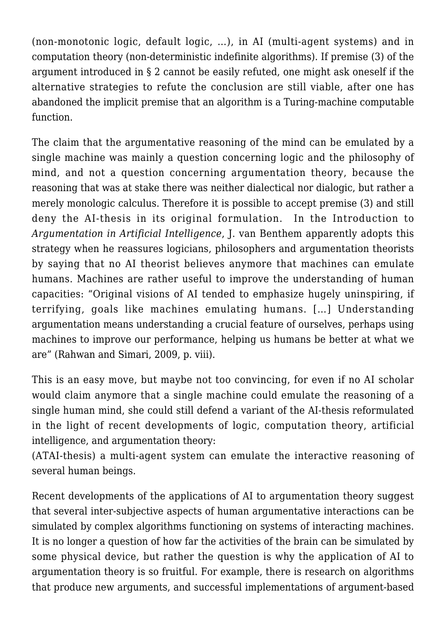(non-monotonic logic, default logic, …), in AI (multi-agent systems) and in computation theory (non-deterministic indefinite algorithms). If premise (3) of the argument introduced in § 2 cannot be easily refuted, one might ask oneself if the alternative strategies to refute the conclusion are still viable, after one has abandoned the implicit premise that an algorithm is a Turing-machine computable function.

The claim that the argumentative reasoning of the mind can be emulated by a single machine was mainly a question concerning logic and the philosophy of mind, and not a question concerning argumentation theory, because the reasoning that was at stake there was neither dialectical nor dialogic, but rather a merely monologic calculus. Therefore it is possible to accept premise (3) and still deny the AI-thesis in its original formulation. In the Introduction to *Argumentation in Artificial Intelligence*, J. van Benthem apparently adopts this strategy when he reassures logicians, philosophers and argumentation theorists by saying that no AI theorist believes anymore that machines can emulate humans. Machines are rather useful to improve the understanding of human capacities: "Original visions of AI tended to emphasize hugely uninspiring, if terrifying, goals like machines emulating humans. […] Understanding argumentation means understanding a crucial feature of ourselves, perhaps using machines to improve our performance, helping us humans be better at what we are" (Rahwan and Simari, 2009, p. viii).

This is an easy move, but maybe not too convincing, for even if no AI scholar would claim anymore that a single machine could emulate the reasoning of a single human mind, she could still defend a variant of the AI-thesis reformulated in the light of recent developments of logic, computation theory, artificial intelligence, and argumentation theory:

(ATAI-thesis) a multi-agent system can emulate the interactive reasoning of several human beings.

Recent developments of the applications of AI to argumentation theory suggest that several inter-subjective aspects of human argumentative interactions can be simulated by complex algorithms functioning on systems of interacting machines. It is no longer a question of how far the activities of the brain can be simulated by some physical device, but rather the question is why the application of AI to argumentation theory is so fruitful. For example, there is research on algorithms that produce new arguments, and successful implementations of argument-based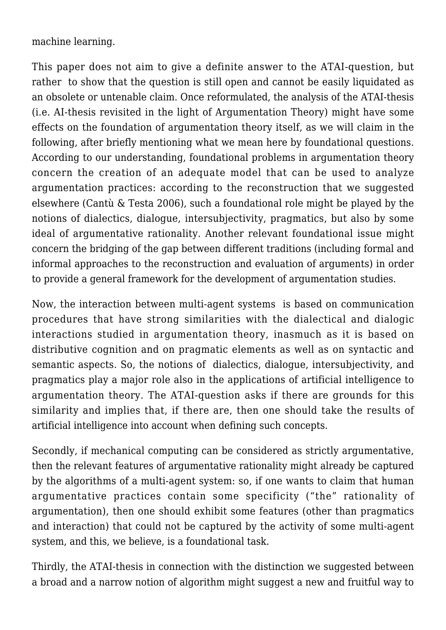machine learning.

This paper does not aim to give a definite answer to the ATAI-question, but rather to show that the question is still open and cannot be easily liquidated as an obsolete or untenable claim. Once reformulated, the analysis of the ATAI-thesis (i.e. AI-thesis revisited in the light of Argumentation Theory) might have some effects on the foundation of argumentation theory itself, as we will claim in the following, after briefly mentioning what we mean here by foundational questions. According to our understanding, foundational problems in argumentation theory concern the creation of an adequate model that can be used to analyze argumentation practices: according to the reconstruction that we suggested elsewhere (Cantù & Testa 2006), such a foundational role might be played by the notions of dialectics, dialogue, intersubjectivity, pragmatics, but also by some ideal of argumentative rationality. Another relevant foundational issue might concern the bridging of the gap between different traditions (including formal and informal approaches to the reconstruction and evaluation of arguments) in order to provide a general framework for the development of argumentation studies.

Now, the interaction between multi-agent systems is based on communication procedures that have strong similarities with the dialectical and dialogic interactions studied in argumentation theory, inasmuch as it is based on distributive cognition and on pragmatic elements as well as on syntactic and semantic aspects. So, the notions of dialectics, dialogue, intersubjectivity, and pragmatics play a major role also in the applications of artificial intelligence to argumentation theory. The ATAI-question asks if there are grounds for this similarity and implies that, if there are, then one should take the results of artificial intelligence into account when defining such concepts.

Secondly, if mechanical computing can be considered as strictly argumentative, then the relevant features of argumentative rationality might already be captured by the algorithms of a multi-agent system: so, if one wants to claim that human argumentative practices contain some specificity ("the" rationality of argumentation), then one should exhibit some features (other than pragmatics and interaction) that could not be captured by the activity of some multi-agent system, and this, we believe, is a foundational task.

Thirdly, the ATAI-thesis in connection with the distinction we suggested between a broad and a narrow notion of algorithm might suggest a new and fruitful way to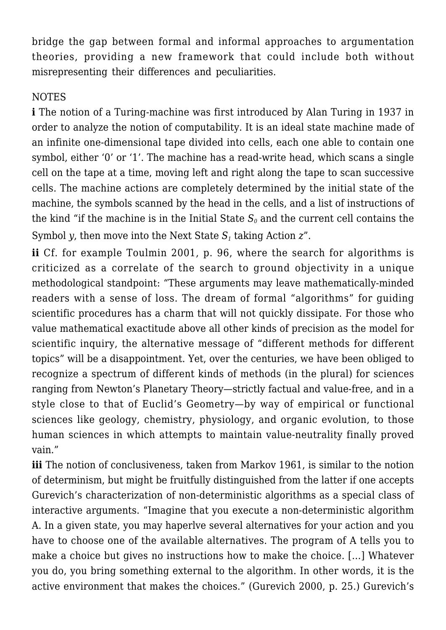bridge the gap between formal and informal approaches to argumentation theories, providing a new framework that could include both without misrepresenting their differences and peculiarities.

# **NOTES**

**i** The notion of a Turing-machine was first introduced by Alan Turing in 1937 in order to analyze the notion of computability. It is an ideal state machine made of an infinite one-dimensional tape divided into cells, each one able to contain one symbol, either '0' or '1'. The machine has a read-write head, which scans a single cell on the tape at a time, moving left and right along the tape to scan successive cells. The machine actions are completely determined by the initial state of the machine, the symbols scanned by the head in the cells, and a list of instructions of the kind "if the machine is in the Initial State  $S_0$  and the current cell contains the Symbol *y*, then move into the Next State  $S_1$  taking Action  $z$ ".

**ii** Cf. for example Toulmin 2001, p. 96, where the search for algorithms is criticized as a correlate of the search to ground objectivity in a unique methodological standpoint: "These arguments may leave mathematically-minded readers with a sense of loss. The dream of formal "algorithms" for guiding scientific procedures has a charm that will not quickly dissipate. For those who value mathematical exactitude above all other kinds of precision as the model for scientific inquiry, the alternative message of "different methods for different topics" will be a disappointment. Yet, over the centuries, we have been obliged to recognize a spectrum of different kinds of methods (in the plural) for sciences ranging from Newton's Planetary Theory—strictly factual and value-free, and in a style close to that of Euclid's Geometry—by way of empirical or functional sciences like geology, chemistry, physiology, and organic evolution, to those human sciences in which attempts to maintain value-neutrality finally proved vain."

**iii** The notion of conclusiveness, taken from Markov 1961, is similar to the notion of determinism, but might be fruitfully distinguished from the latter if one accepts Gurevich's characterization of non-deterministic algorithms as a special class of interactive arguments. "Imagine that you execute a non-deterministic algorithm A. In a given state, you may haperlve several alternatives for your action and you have to choose one of the available alternatives. The program of A tells you to make a choice but gives no instructions how to make the choice. […] Whatever you do, you bring something external to the algorithm. In other words, it is the active environment that makes the choices." (Gurevich 2000, p. 25.) Gurevich's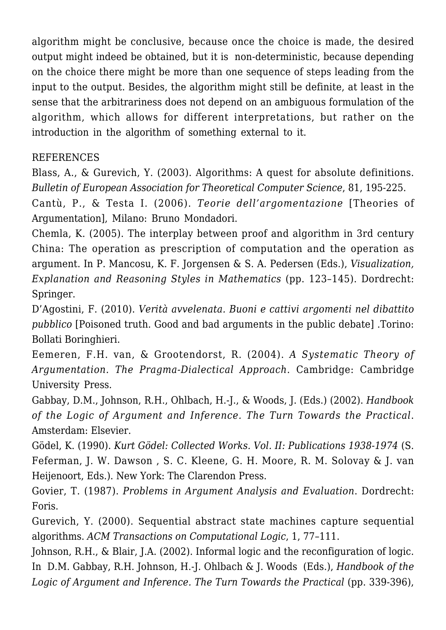algorithm might be conclusive, because once the choice is made, the desired output might indeed be obtained, but it is non-deterministic, because depending on the choice there might be more than one sequence of steps leading from the input to the output. Besides, the algorithm might still be definite, at least in the sense that the arbitrariness does not depend on an ambiguous formulation of the algorithm, which allows for different interpretations, but rather on the introduction in the algorithm of something external to it.

#### REFERENCES

Blass, A., & Gurevich, Y. (2003). Algorithms: A quest for absolute definitions. *Bulletin of European Association for Theoretical Computer Science*, 81, 195-225.

Cantù, P., & Testa I. (2006). *Teorie dell'argomentazione* [Theories of Argumentation], Milano: Bruno Mondadori.

Chemla, K. (2005). The interplay between proof and algorithm in 3rd century China: The operation as prescription of computation and the operation as argument. In P. Mancosu, K. F. Jorgensen & S. A. Pedersen (Eds.), *Visualization, Explanation and Reasoning Styles in Mathematics* (pp. 123–145). Dordrecht: Springer.

D'Agostini, F. (2010). *Verità avvelenata. Buoni e cattivi argomenti nel dibattito pubblico* [Poisoned truth. Good and bad arguments in the public debate] .Torino: Bollati Boringhieri.

Eemeren, F.H. van, & Grootendorst, R. (2004). *A Systematic Theory of Argumentation. The Pragma-Dialectical Approach*. Cambridge: Cambridge University Press.

Gabbay, D.M., Johnson, R.H., Ohlbach, H.-J., & Woods, J. (Eds.) (2002). *Handbook of the Logic of Argument and Inference. The Turn Towards the Practical*. Amsterdam: Elsevier.

Gödel, K. (1990). *Kurt Gödel: Collected Works. Vol. II: Publications 1938-1974* (S. Feferman, J. W. Dawson , S. C. Kleene, G. H. Moore, R. M. Solovay & J. van Heijenoort, Eds.). New York: The Clarendon Press.

Govier, T. (1987). *Problems in Argument Analysis and Evaluation*. Dordrecht: Foris.

Gurevich, Y. (2000). Sequential abstract state machines capture sequential algorithms. *ACM Transactions on Computational Logic*, 1, 77–111.

Johnson, R.H., & Blair, J.A. (2002). Informal logic and the reconfiguration of logic. In D.M. Gabbay, R.H. Johnson, H.-J. Ohlbach & J. Woods (Eds.), *Handbook of the Logic of Argument and Inference. The Turn Towards the Practical* (pp. 339-396),